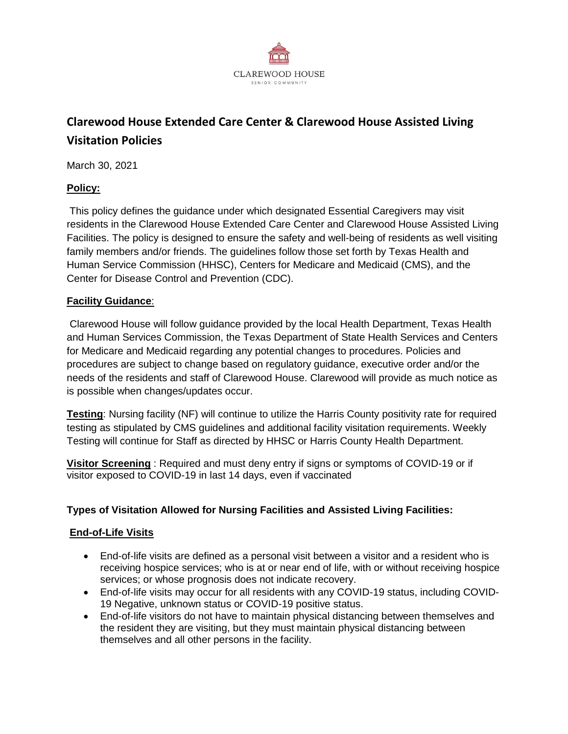

# **Clarewood House Extended Care Center & Clarewood House Assisted Living Visitation Policies**

March 30, 2021

#### **Policy:**

This policy defines the guidance under which designated Essential Caregivers may visit residents in the Clarewood House Extended Care Center and Clarewood House Assisted Living Facilities. The policy is designed to ensure the safety and well-being of residents as well visiting family members and/or friends. The guidelines follow those set forth by Texas Health and Human Service Commission (HHSC), Centers for Medicare and Medicaid (CMS), and the Center for Disease Control and Prevention (CDC).

#### **Facility Guidance**:

Clarewood House will follow guidance provided by the local Health Department, Texas Health and Human Services Commission, the Texas Department of State Health Services and Centers for Medicare and Medicaid regarding any potential changes to procedures. Policies and procedures are subject to change based on regulatory guidance, executive order and/or the needs of the residents and staff of Clarewood House. Clarewood will provide as much notice as is possible when changes/updates occur.

**Testing**: Nursing facility (NF) will continue to utilize the Harris County positivity rate for required testing as stipulated by CMS guidelines and additional facility visitation requirements. Weekly Testing will continue for Staff as directed by HHSC or Harris County Health Department.

**Visitor Screening** : Required and must deny entry if signs or symptoms of COVID-19 or if visitor exposed to COVID-19 in last 14 days, even if vaccinated

#### **Types of Visitation Allowed for Nursing Facilities and Assisted Living Facilities:**

#### **End-of-Life Visits**

- End-of-life visits are defined as a personal visit between a visitor and a resident who is receiving hospice services; who is at or near end of life, with or without receiving hospice services; or whose prognosis does not indicate recovery.
- End-of-life visits may occur for all residents with any COVID-19 status, including COVID-19 Negative, unknown status or COVID-19 positive status.
- End-of-life visitors do not have to maintain physical distancing between themselves and the resident they are visiting, but they must maintain physical distancing between themselves and all other persons in the facility.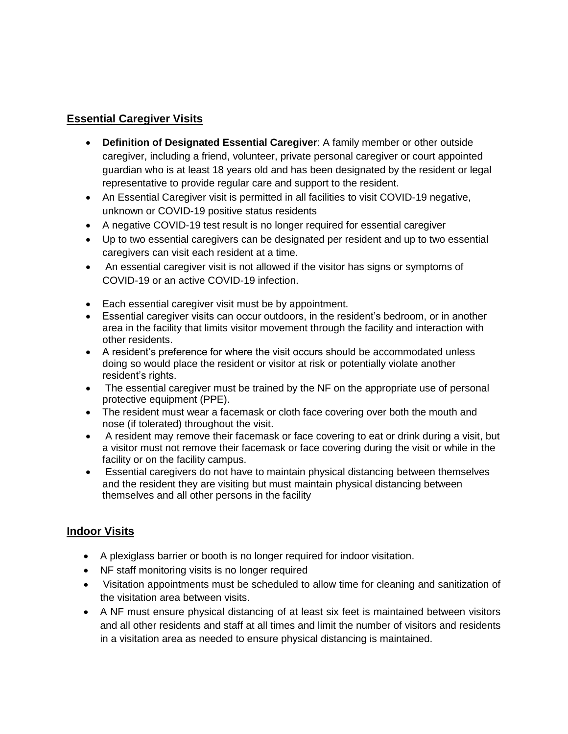# **Essential Caregiver Visits**

- **Definition of Designated Essential Caregiver**: A family member or other outside caregiver, including a friend, volunteer, private personal caregiver or court appointed guardian who is at least 18 years old and has been designated by the resident or legal representative to provide regular care and support to the resident.
- An Essential Caregiver visit is permitted in all facilities to visit COVID-19 negative, unknown or COVID-19 positive status residents
- A negative COVID-19 test result is no longer required for essential caregiver
- Up to two essential caregivers can be designated per resident and up to two essential caregivers can visit each resident at a time.
- An essential caregiver visit is not allowed if the visitor has signs or symptoms of COVID-19 or an active COVID-19 infection.
- Each essential caregiver visit must be by appointment.
- Essential caregiver visits can occur outdoors, in the resident's bedroom, or in another area in the facility that limits visitor movement through the facility and interaction with other residents.
- A resident's preference for where the visit occurs should be accommodated unless doing so would place the resident or visitor at risk or potentially violate another resident's rights.
- The essential caregiver must be trained by the NF on the appropriate use of personal protective equipment (PPE).
- The resident must wear a facemask or cloth face covering over both the mouth and nose (if tolerated) throughout the visit.
- A resident may remove their facemask or face covering to eat or drink during a visit, but a visitor must not remove their facemask or face covering during the visit or while in the facility or on the facility campus.
- Essential caregivers do not have to maintain physical distancing between themselves and the resident they are visiting but must maintain physical distancing between themselves and all other persons in the facility

# **Indoor Visits**

- A plexiglass barrier or booth is no longer required for indoor visitation.
- NF staff monitoring visits is no longer required
- Visitation appointments must be scheduled to allow time for cleaning and sanitization of the visitation area between visits.
- A NF must ensure physical distancing of at least six feet is maintained between visitors and all other residents and staff at all times and limit the number of visitors and residents in a visitation area as needed to ensure physical distancing is maintained.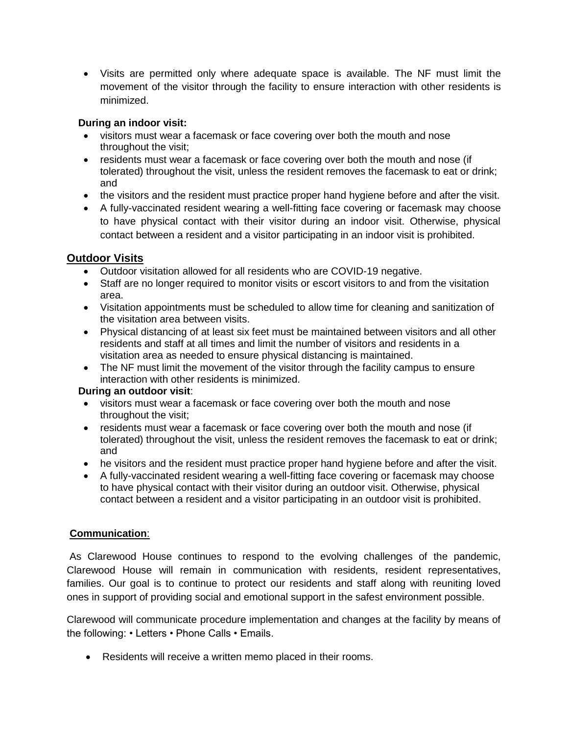Visits are permitted only where adequate space is available. The NF must limit the movement of the visitor through the facility to ensure interaction with other residents is minimized.

#### **During an indoor visit:**

- visitors must wear a facemask or face covering over both the mouth and nose throughout the visit;
- residents must wear a facemask or face covering over both the mouth and nose (if tolerated) throughout the visit, unless the resident removes the facemask to eat or drink; and
- the visitors and the resident must practice proper hand hygiene before and after the visit.
- A fully-vaccinated resident wearing a well-fitting face covering or facemask may choose to have physical contact with their visitor during an indoor visit. Otherwise, physical contact between a resident and a visitor participating in an indoor visit is prohibited.

# **Outdoor Visits**

- Outdoor visitation allowed for all residents who are COVID-19 negative.
- Staff are no longer required to monitor visits or escort visitors to and from the visitation area.
- Visitation appointments must be scheduled to allow time for cleaning and sanitization of the visitation area between visits.
- Physical distancing of at least six feet must be maintained between visitors and all other residents and staff at all times and limit the number of visitors and residents in a visitation area as needed to ensure physical distancing is maintained.
- The NF must limit the movement of the visitor through the facility campus to ensure interaction with other residents is minimized.

#### **During an outdoor visit**:

- visitors must wear a facemask or face covering over both the mouth and nose throughout the visit;
- residents must wear a facemask or face covering over both the mouth and nose (if tolerated) throughout the visit, unless the resident removes the facemask to eat or drink; and
- he visitors and the resident must practice proper hand hygiene before and after the visit.
- A fully-vaccinated resident wearing a well-fitting face covering or facemask may choose to have physical contact with their visitor during an outdoor visit. Otherwise, physical contact between a resident and a visitor participating in an outdoor visit is prohibited.

#### **Communication**:

As Clarewood House continues to respond to the evolving challenges of the pandemic, Clarewood House will remain in communication with residents, resident representatives, families. Our goal is to continue to protect our residents and staff along with reuniting loved ones in support of providing social and emotional support in the safest environment possible.

Clarewood will communicate procedure implementation and changes at the facility by means of the following: • Letters • Phone Calls • Emails.

Residents will receive a written memo placed in their rooms.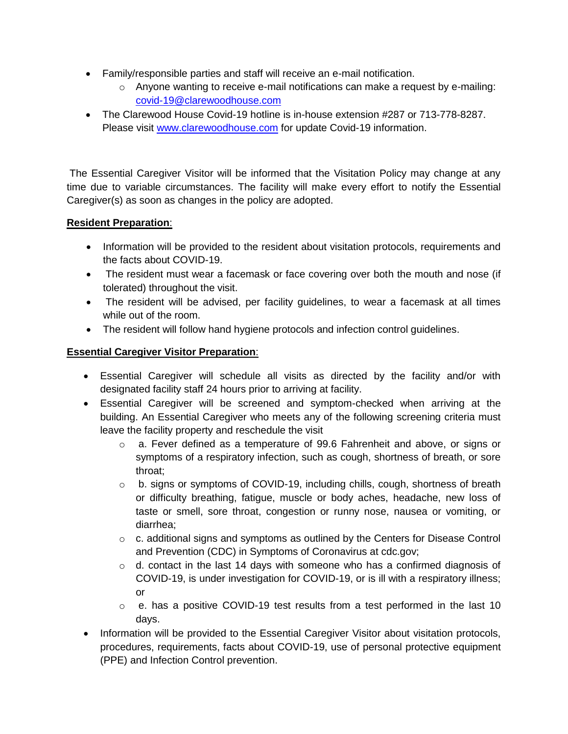- Family/responsible parties and staff will receive an e-mail notification.
	- o Anyone wanting to receive e-mail notifications can make a request by e-mailing: [covid-19@clarewoodhouse.com](mailto:covid-19@clarewoodhouse.com)
- The Clarewood House Covid-19 hotline is in-house extension #287 or 713-778-8287. Please visit [www.clarewoodhouse.com](http://www.clarewoodhouse.com/) for update Covid-19 information.

The Essential Caregiver Visitor will be informed that the Visitation Policy may change at any time due to variable circumstances. The facility will make every effort to notify the Essential Caregiver(s) as soon as changes in the policy are adopted.

#### **Resident Preparation**:

- Information will be provided to the resident about visitation protocols, requirements and the facts about COVID-19.
- The resident must wear a facemask or face covering over both the mouth and nose (if tolerated) throughout the visit.
- The resident will be advised, per facility quidelines, to wear a facemask at all times while out of the room.
- The resident will follow hand hygiene protocols and infection control guidelines.

# **Essential Caregiver Visitor Preparation**:

- Essential Caregiver will schedule all visits as directed by the facility and/or with designated facility staff 24 hours prior to arriving at facility.
- Essential Caregiver will be screened and symptom-checked when arriving at the building. An Essential Caregiver who meets any of the following screening criteria must leave the facility property and reschedule the visit
	- o a. Fever defined as a temperature of 99.6 Fahrenheit and above, or signs or symptoms of a respiratory infection, such as cough, shortness of breath, or sore throat;
	- o b. signs or symptoms of COVID-19, including chills, cough, shortness of breath or difficulty breathing, fatigue, muscle or body aches, headache, new loss of taste or smell, sore throat, congestion or runny nose, nausea or vomiting, or diarrhea;
	- $\circ$  c. additional signs and symptoms as outlined by the Centers for Disease Control and Prevention (CDC) in Symptoms of Coronavirus at cdc.gov;
	- $\circ$  d. contact in the last 14 days with someone who has a confirmed diagnosis of COVID-19, is under investigation for COVID-19, or is ill with a respiratory illness; or
	- o e. has a positive COVID-19 test results from a test performed in the last 10 days.
- Information will be provided to the Essential Caregiver Visitor about visitation protocols, procedures, requirements, facts about COVID-19, use of personal protective equipment (PPE) and Infection Control prevention.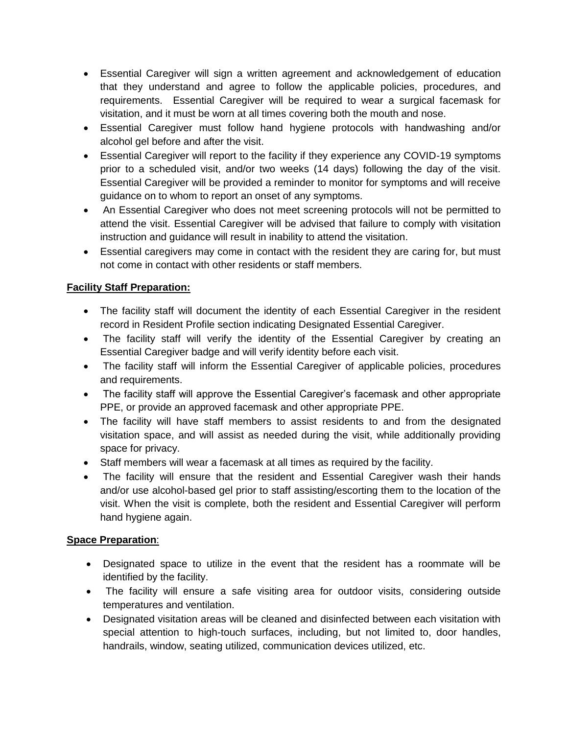- Essential Caregiver will sign a written agreement and acknowledgement of education that they understand and agree to follow the applicable policies, procedures, and requirements. Essential Caregiver will be required to wear a surgical facemask for visitation, and it must be worn at all times covering both the mouth and nose.
- Essential Caregiver must follow hand hygiene protocols with handwashing and/or alcohol gel before and after the visit.
- Essential Caregiver will report to the facility if they experience any COVID-19 symptoms prior to a scheduled visit, and/or two weeks (14 days) following the day of the visit. Essential Caregiver will be provided a reminder to monitor for symptoms and will receive guidance on to whom to report an onset of any symptoms.
- An Essential Caregiver who does not meet screening protocols will not be permitted to attend the visit. Essential Caregiver will be advised that failure to comply with visitation instruction and guidance will result in inability to attend the visitation.
- Essential caregivers may come in contact with the resident they are caring for, but must not come in contact with other residents or staff members.

# **Facility Staff Preparation:**

- The facility staff will document the identity of each Essential Caregiver in the resident record in Resident Profile section indicating Designated Essential Caregiver.
- The facility staff will verify the identity of the Essential Caregiver by creating an Essential Caregiver badge and will verify identity before each visit.
- The facility staff will inform the Essential Caregiver of applicable policies, procedures and requirements.
- The facility staff will approve the Essential Caregiver's facemask and other appropriate PPE, or provide an approved facemask and other appropriate PPE.
- The facility will have staff members to assist residents to and from the designated visitation space, and will assist as needed during the visit, while additionally providing space for privacy.
- Staff members will wear a facemask at all times as required by the facility.
- The facility will ensure that the resident and Essential Caregiver wash their hands and/or use alcohol-based gel prior to staff assisting/escorting them to the location of the visit. When the visit is complete, both the resident and Essential Caregiver will perform hand hygiene again.

#### **Space Preparation**:

- Designated space to utilize in the event that the resident has a roommate will be identified by the facility.
- The facility will ensure a safe visiting area for outdoor visits, considering outside temperatures and ventilation.
- Designated visitation areas will be cleaned and disinfected between each visitation with special attention to high-touch surfaces, including, but not limited to, door handles, handrails, window, seating utilized, communication devices utilized, etc.